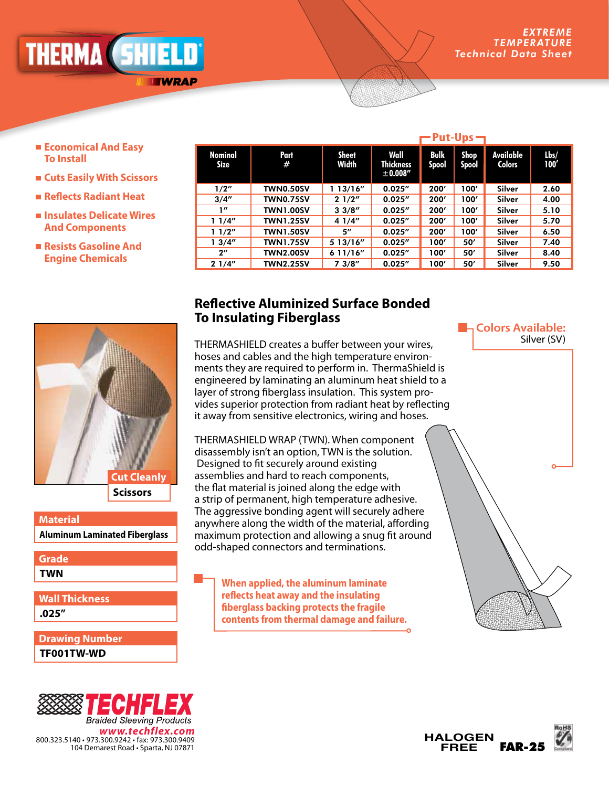*ADVANCED ENGINEERING* <u>NLKMA (Dhilli</u>

**TWRAP** 

- **Economical And Easy To Install**
- **Cuts Easily With Scissors**
- **Reflects Radiant Heat**
- **Insulates Delicate Wires And Components**
- **Resists Gasoline And Engine Chemicals**

|                               |                  | ーPut-Ups ー            |                                      |               |               |                            |              |
|-------------------------------|------------------|-----------------------|--------------------------------------|---------------|---------------|----------------------------|--------------|
| <b>Nominal</b><br><b>Size</b> | <b>Part</b><br># | <b>Sheet</b><br>Width | Wall<br><b>Thickness</b><br>±0.008'' | Bulk<br>Spool | Shop<br>Spool | Available<br><b>Colors</b> | Lbs/<br>100' |
| 1/2"                          | <b>TWN0.50SV</b> | 113/16''              | 0.025''                              | 200'          | 100'          | Silver                     | 2.60         |
| 3/4''                         | <b>TWN0.75SV</b> | 21/2"                 | 0.025''                              | 200'          | 100'          | Silver                     | 4.00         |
| 1''                           | <b>TWN1.00SV</b> | 33/8''                | 0.025''                              | 200'          | 100'          | Silver                     | 5.10         |
| 11/4"                         | <b>TWN1.25SV</b> | 4 1/4"                | 0.025''                              | 200'          | 100'          | Silver                     | 5.70         |
| 11/2"                         | <b>TWN1.50SV</b> | 5"                    | 0.025''                              | 200'          | 100'          | Silver                     | 6.50         |
| 13/4''                        | TWN1.75SV        | 5 13/16"              | 0.025''                              | 100'          | 50'           | Silver                     | 7.40         |
| $2^{\prime\prime}$            | <b>TWN2.00SV</b> | 611/16"               | 0.025''                              | 100'          | 50'           | Silver                     | 8.40         |
| 21/4"                         | <b>TWN2.25SV</b> | 73/8''                | 0.025''                              | 100'          | 50'           | Silver                     | 9.50         |

## **Scissors Cut Cleanly**

**Aluminum Laminated Fiberglass Material** 

**TWN Grade**

**.025" Wall Thickness**

**TF001TW-WD Drawing Number**



## **Reflective Aluminized Surface Bonded To Insulating Fiberglass**

THERMASHIELD creates a buffer between your wires, hoses and cables and the high temperature environments they are required to perform in. ThermaShield is engineered by laminating an aluminum heat shield to a layer of strong fiberglass insulation. This system provides superior protection from radiant heat by reflecting it away from sensitive electronics, wiring and hoses.

THERMASHIELD WRAP (TWN). When component disassembly isn't an option, TWN is the solution. Designed to fit securely around existing assemblies and hard to reach components, the flat material is joined along the edge with a strip of permanent, high temperature adhesive. The aggressive bonding agent will securely adhere anywhere along the width of the material, affording maximum protection and allowing a snug fit around odd-shaped connectors and terminations.

> **When applied, the aluminum laminate reflects heat away and the insulating fiberglass backing protects the fragile contents from thermal damage and failure.**

**E**<sub>n</sub> Colors Available: Silver (SV)